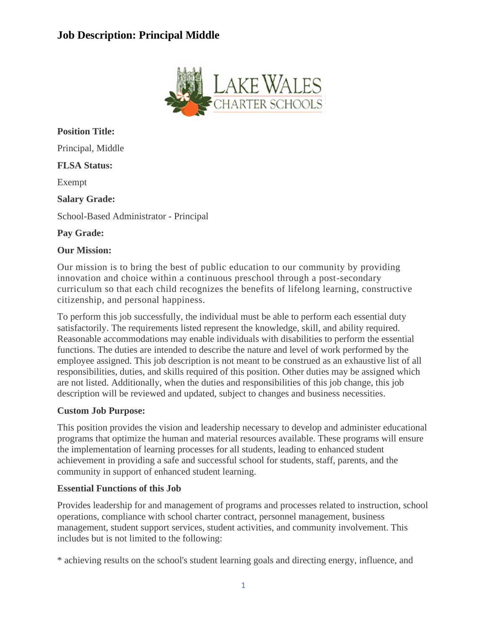

**Position Title:** Principal, Middle **FLSA Status:** Exempt **Salary Grade:** School-Based Administrator - Principal **Pay Grade:**

### **Our Mission:**

Our mission is to bring the best of public education to our community by providing innovation and choice within a continuous preschool through a post-secondary curriculum so that each child recognizes the benefits of lifelong learning, constructive citizenship, and personal happiness.

To perform this job successfully, the individual must be able to perform each essential duty satisfactorily. The requirements listed represent the knowledge, skill, and ability required. Reasonable accommodations may enable individuals with disabilities to perform the essential functions. The duties are intended to describe the nature and level of work performed by the employee assigned. This job description is not meant to be construed as an exhaustive list of all responsibilities, duties, and skills required of this position. Other duties may be assigned which are not listed. Additionally, when the duties and responsibilities of this job change, this job description will be reviewed and updated, subject to changes and business necessities.

#### **Custom Job Purpose:**

This position provides the vision and leadership necessary to develop and administer educational programs that optimize the human and material resources available. These programs will ensure the implementation of learning processes for all students, leading to enhanced student achievement in providing a safe and successful school for students, staff, parents, and the community in support of enhanced student learning.

#### **Essential Functions of this Job**

Provides leadership for and management of programs and processes related to instruction, school operations, compliance with school charter contract, personnel management, business management, student support services, student activities, and community involvement. This includes but is not limited to the following:

\* achieving results on the school's student learning goals and directing energy, influence, and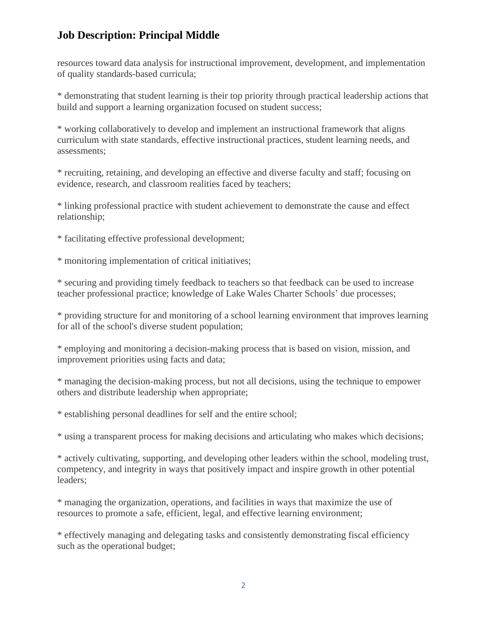resources toward data analysis for instructional improvement, development, and implementation of quality standards-based curricula;

\* demonstrating that student learning is their top priority through practical leadership actions that build and support a learning organization focused on student success;

\* working collaboratively to develop and implement an instructional framework that aligns curriculum with state standards, effective instructional practices, student learning needs, and assessments;

\* recruiting, retaining, and developing an effective and diverse faculty and staff; focusing on evidence, research, and classroom realities faced by teachers;

\* linking professional practice with student achievement to demonstrate the cause and effect relationship;

\* facilitating effective professional development;

\* monitoring implementation of critical initiatives;

\* securing and providing timely feedback to teachers so that feedback can be used to increase teacher professional practice; knowledge of Lake Wales Charter Schools' due processes;

\* providing structure for and monitoring of a school learning environment that improves learning for all of the school's diverse student population;

\* employing and monitoring a decision-making process that is based on vision, mission, and improvement priorities using facts and data;

\* managing the decision-making process, but not all decisions, using the technique to empower others and distribute leadership when appropriate;

\* establishing personal deadlines for self and the entire school;

\* using a transparent process for making decisions and articulating who makes which decisions;

\* actively cultivating, supporting, and developing other leaders within the school, modeling trust, competency, and integrity in ways that positively impact and inspire growth in other potential leaders;

\* managing the organization, operations, and facilities in ways that maximize the use of resources to promote a safe, efficient, legal, and effective learning environment;

\* effectively managing and delegating tasks and consistently demonstrating fiscal efficiency such as the operational budget;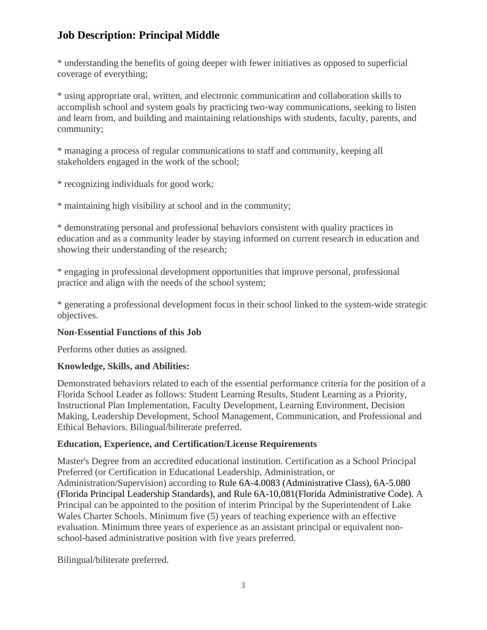\* understanding the benefits of going deeper with fewer initiatives as opposed to superficial coverage of everything;

\* using appropriate oral, written, and electronic communication and collaboration skills to accomplish school and system goals by practicing two-way communications, seeking to listen and learn from, and building and maintaining relationships with students, faculty, parents, and community;

\* managing a process of regular communications to staff and community, keeping all stakeholders engaged in the work of the school;

\* recognizing individuals for good work;

\* maintaining high visibility at school and in the community;

\* demonstrating personal and professional behaviors consistent with quality practices in education and as a community leader by staying informed on current research in education and showing their understanding of the research;

\* engaging in professional development opportunities that improve personal, professional practice and align with the needs of the school system;

\* generating a professional development focus in their school linked to the system-wide strategic objectives.

## **Non-Essential Functions of this Job**

Performs other duties as assigned.

#### **Knowledge, Skills, and Abilities:**

Demonstrated behaviors related to each of the essential performance criteria for the position of a Florida School Leader as follows: Student Learning Results, Student Learning as a Priority, Instructional Plan Implementation, Faculty Development, Learning Environment, Decision Making, Leadership Development, School Management, Communication, and Professional and Ethical Behaviors. Bilingual/biliterate preferred.

#### **Education, Experience, and Certification/License Requirements**

Master's Degree from an accredited educational institution. Certification as a School Principal Preferred (or Certification in Educational Leadership, Administration, or Administration/Supervision) according to Rule 6A-4.0083 (Administrative Class), 6A-5.080 (Florida Principal Leadership Standards), and Rule 6A-10,081(Florida Administrative Code). A Principal can be appointed to the position of interim Principal by the Superintendent of Lake Wales Charter Schools. Minimum five (5) years of teaching experience with an effective evaluation. Minimum three years of experience as an assistant principal or equivalent nonschool-based administrative position with five years preferred.

Bilingual/biliterate preferred.